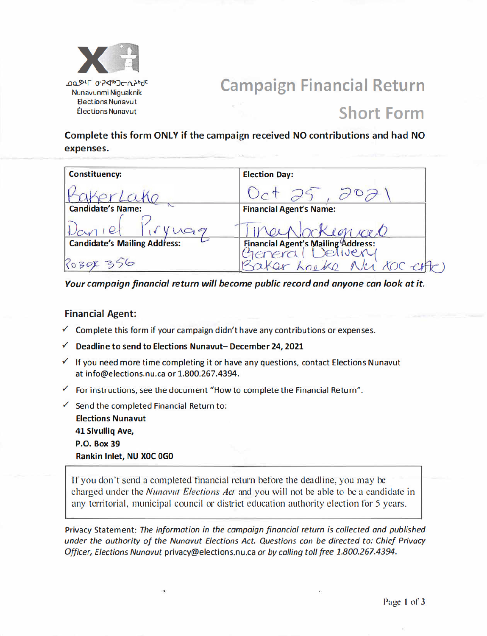

# **Campaign Financial Return**

## **Short Form**

Complete this form ONLY if the campaign received NO contributions and had NO expenses.

| <b>Constituency:</b>                | <b>Election Day:</b>                               |
|-------------------------------------|----------------------------------------------------|
| Paker Lake                          |                                                    |
|                                     | <b>Financial Agent's Name:</b>                     |
|                                     | erNockeguaco                                       |
| <b>Candidate's Mailing Address:</b> |                                                    |
| ROBOX 356                           | Financial Agent's Mailing Address:<br>Nici COC-CHP |

Your campaign financial return will become public record and anyone can look at it.

### **Financial Agent:**

- $\checkmark$  Complete this form if your campaign didn't have any contributions or expenses.
- Deadline to send to Elections Nunavut- December 24, 2021  $\checkmark$
- $\checkmark$  If you need more time completing it or have any questions, contact Elections Nunavut at info@elections.nu.ca or 1.800.267.4394.
- $\checkmark$  For instructions, see the document "How to complete the Financial Return".
- $\checkmark$  Send the completed Financial Return to: **Elections Nunavut** 41 Sivullig Ave, **P.O. Box 39** Rankin Inlet, NU XOC 0G0

If you don't send a completed financial return before the deadline, you may be charged under the *Nunavut Elections Act* and you will not be able to be a candidate in any territorial, municipal council or district education authority election for 5 years.

Privacy Statement: The information in the campaign financial return is collected and published under the authority of the Nunavut Elections Act. Questions can be directed to: Chief Privacy Officer, Elections Nunavut privacy@elections.nu.ca or by calling toll free 1.800.267.4394.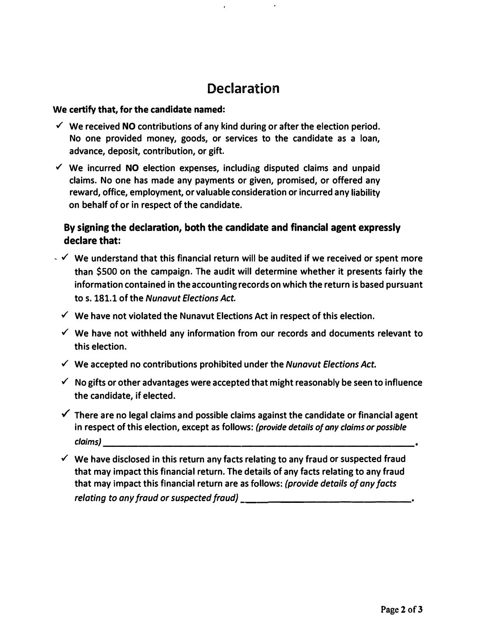### **Declaration**

#### **We certify that, for the candidate named:**

- **✓ We received NO contributions of any kind during or after the election period. No one provided money, goods, or services to the candidate as a loan, advance, deposit, contribution, or gift.**
- ✓ **We incurred NO election expenses, including disputed claims and unpaid claims. No one has made any payments or given, promised, or offered any reward, office, employment, or valuable consideration or incurred any liability on behalf of or in respect of the candidate.**

### **By signing the declaration, both the candidate and financial agent expressly declare that:**

- **� ✓ We understand that this financial return will be audited if we received or spent more than \$500 on the campaign. The audit will determine whether it presents fairly the information contained in the accounting records on which the return is based pursuant to s. 181.1 of the** *Nunavut Elections Act.* 
	- **✓ We have not violated the Nunavut Elections Act in respect of this election.**
	- **✓ We have not withheld any information from our records and documents relevant to this election.**
	- **✓ We accepted no contributions prohibited under the** *Nunavut Elections Act.*
	- **✓ No gifts or other advantages were accepted that might reasonably be seen to influence the candidate, if elected.**
	- **✓ There are no legal claims and possible claims against the candidate or financial agent in respect of this election, except as follows:** *(provide details of any claims or possible c laims) \_\_\_\_\_\_\_\_\_\_\_\_\_\_\_\_\_\_\_\_\_\_\_\_\_\_\_*
	- **✓ We have disclosed in this return any facts relating to any fraud or suspected fraud that may impact this financial return. The details of any facts relating to any fraud that may impact this financial return are as follows:** *(provide details of any facts* relating to any fraud or suspected fraud)